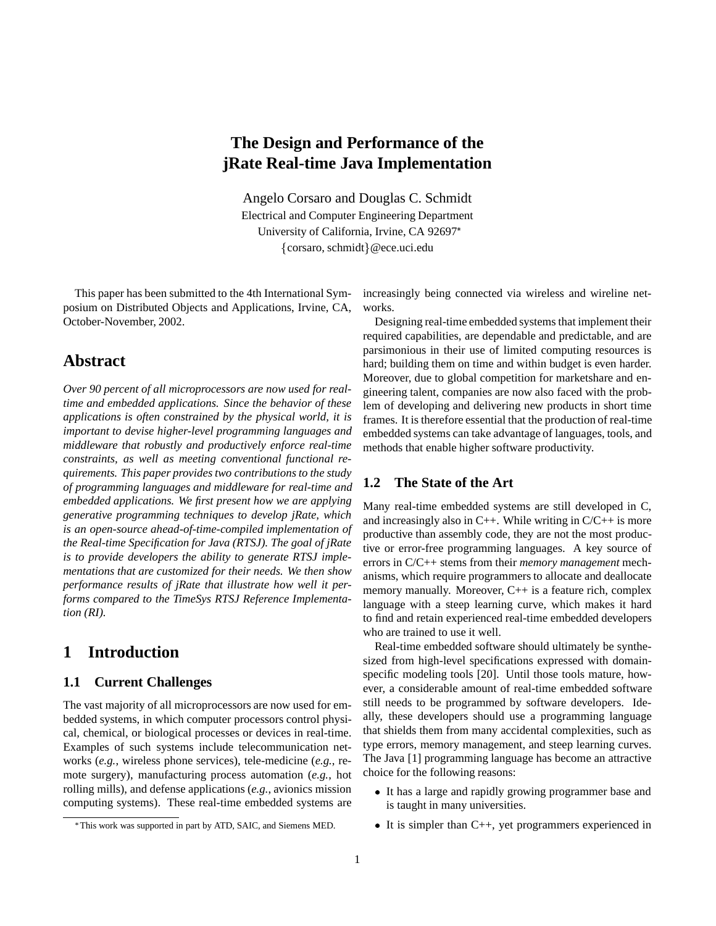# **The Design and Performance of the jRate Real-time Java Implementation**

Angelo Corsaro and Douglas C. Schmidt Electrical and Computer Engineering Department University of California, Irvine, CA 92697 {corsaro, schmidt}@ece.uci.edu

This paper has been submitted to the 4th International Symposium on Distributed Objects and Applications, Irvine, CA, October-November, 2002.

## **Abstract**

*Over 90 percent of all microprocessors are now used for realtime and embedded applications. Since the behavior of these applications is often constrained by the physical world, it is important to devise higher-level programming languages and middleware that robustly and productively enforce real-time constraints, as well as meeting conventional functional requirements. This paper provides two contributions to the study of programming languages and middleware for real-time and embedded applications. We first present how we are applying generative programming techniques to develop jRate, which is an open-source ahead-of-time-compiled implementation of the Real-time Specification for Java (RTSJ). The goal of jRate is to provide developers the ability to generate RTSJ implementations that are customized for their needs. We then show performance results of jRate that illustrate how well it performs compared to the TimeSys RTSJ Reference Implementation (RI).*

# **1 Introduction**

### **1.1 Current Challenges**

The vast majority of all microprocessors are now used for embedded systems, in which computer processors control physical, chemical, or biological processes or devices in real-time. Examples of such systems include telecommunication networks (*e.g.*, wireless phone services), tele-medicine (*e.g.*, remote surgery), manufacturing process automation (*e.g.*, hot rolling mills), and defense applications (*e.g.*, avionics mission computing systems). These real-time embedded systems are increasingly being connected via wireless and wireline networks.

Designing real-time embedded systems that implement their required capabilities, are dependable and predictable, and are parsimonious in their use of limited computing resources is hard; building them on time and within budget is even harder. Moreover, due to global competition for marketshare and engineering talent, companies are now also faced with the problem of developing and delivering new products in short time frames. It is therefore essential that the production of real-time embedded systems can take advantage of languages, tools, and methods that enable higher software productivity.

### **1.2 The State of the Art**

Many real-time embedded systems are still developed in C, and increasingly also in  $C_{++}$ . While writing in  $C/C_{++}$  is more productive than assembly code, they are not the most productive or error-free programming languages. A key source of errors in C/C++ stems from their *memory management* mechanisms, which require programmers to allocate and deallocate memory manually. Moreover, C++ is a feature rich, complex language with a steep learning curve, which makes it hard to find and retain experienced real-time embedded developers who are trained to use it well.

Real-time embedded software should ultimately be synthesized from high-level specifications expressed with domainspecific modeling tools [20]. Until those tools mature, however, a considerable amount of real-time embedded software still needs to be programmed by software developers. Ideally, these developers should use a programming language that shields them from many accidental complexities, such as type errors, memory management, and steep learning curves. The Java [1] programming language has become an attractive choice for the following reasons:

- It has a large and rapidly growing programmer base and is taught in many universities.
- It is simpler than C++, yet programmers experienced in

This work was supported in part by ATD, SAIC, and Siemens MED.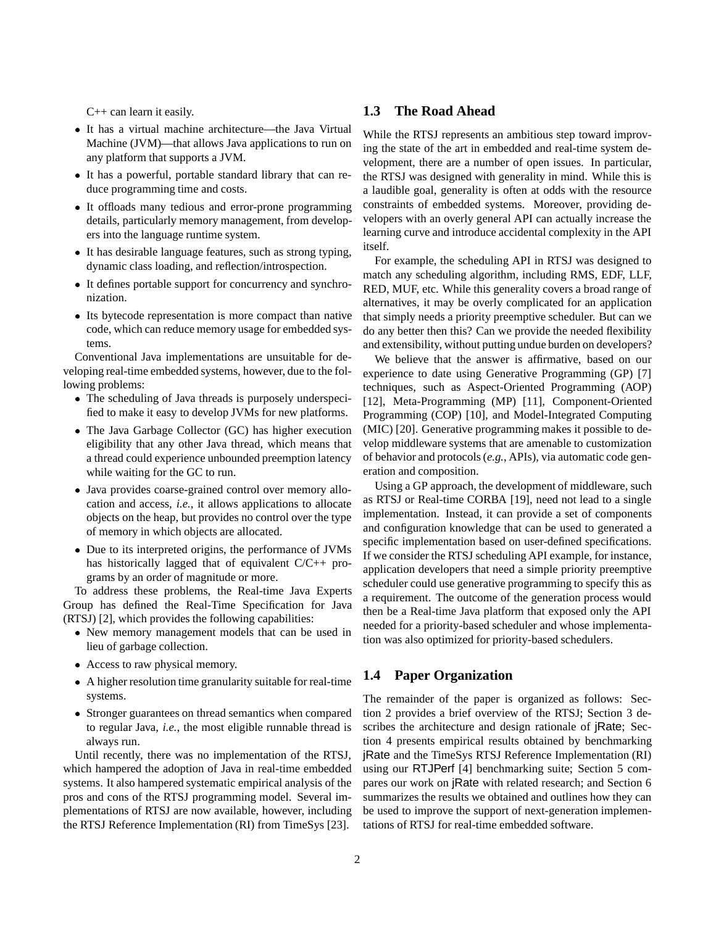C++ can learn it easily.

- It has a virtual machine architecture—the Java Virtual Machine (JVM)—that allows Java applications to run on any platform that supports a JVM.
- It has a powerful, portable standard library that can reduce programming time and costs.
- It offloads many tedious and error-prone programming details, particularly memory management, from developers into the language runtime system.
- It has desirable language features, such as strong typing, dynamic class loading, and reflection/introspection.
- It defines portable support for concurrency and synchronization.
- Its bytecode representation is more compact than native code, which can reduce memory usage for embedded systems.

Conventional Java implementations are unsuitable for developing real-time embedded systems, however, due to the following problems:

- The scheduling of Java threads is purposely underspecified to make it easy to develop JVMs for new platforms.
- The Java Garbage Collector (GC) has higher execution eligibility that any other Java thread, which means that a thread could experience unbounded preemption latency while waiting for the GC to run.
- Java provides coarse-grained control over memory allocation and access, *i.e.*, it allows applications to allocate objects on the heap, but provides no control over the type of memory in which objects are allocated.
- Due to its interpreted origins, the performance of JVMs has historically lagged that of equivalent C/C++ programs by an order of magnitude or more.

To address these problems, the Real-time Java Experts Group has defined the Real-Time Specification for Java (RTSJ) [2], which provides the following capabilities:

- New memory management models that can be used in lieu of garbage collection.
- Access to raw physical memory.
- A higher resolution time granularity suitable for real-time systems.
- Stronger guarantees on thread semantics when compared to regular Java, *i.e.*, the most eligible runnable thread is always run.

Until recently, there was no implementation of the RTSJ, which hampered the adoption of Java in real-time embedded systems. It also hampered systematic empirical analysis of the pros and cons of the RTSJ programming model. Several implementations of RTSJ are now available, however, including the RTSJ Reference Implementation (RI) from TimeSys [23].

#### **1.3 The Road Ahead**

While the RTSJ represents an ambitious step toward improving the state of the art in embedded and real-time system development, there are a number of open issues. In particular, the RTSJ was designed with generality in mind. While this is a laudible goal, generality is often at odds with the resource constraints of embedded systems. Moreover, providing developers with an overly general API can actually increase the learning curve and introduce accidental complexity in the API itself.

For example, the scheduling API in RTSJ was designed to match any scheduling algorithm, including RMS, EDF, LLF, RED, MUF, etc. While this generality covers a broad range of alternatives, it may be overly complicated for an application that simply needs a priority preemptive scheduler. But can we do any better then this? Can we provide the needed flexibility and extensibility, without putting undue burden on developers?

We believe that the answer is affirmative, based on our experience to date using Generative Programming (GP) [7] techniques, such as Aspect-Oriented Programming (AOP) [12], Meta-Programming (MP) [11], Component-Oriented Programming (COP) [10], and Model-Integrated Computing (MIC) [20]. Generative programming makes it possible to develop middleware systems that are amenable to customization of behavior and protocols (*e.g.*, APIs), via automatic code generation and composition.

Using a GP approach, the development of middleware, such as RTSJ or Real-time CORBA [19], need not lead to a single implementation. Instead, it can provide a set of components and configuration knowledge that can be used to generated a specific implementation based on user-defined specifications. If we consider the RTSJ scheduling API example, for instance, application developers that need a simple priority preemptive scheduler could use generative programming to specify this as a requirement. The outcome of the generation process would then be a Real-time Java platform that exposed only the API needed for a priority-based scheduler and whose implementation was also optimized for priority-based schedulers.

#### **1.4 Paper Organization**

The remainder of the paper is organized as follows: Section 2 provides a brief overview of the RTSJ; Section 3 describes the architecture and design rationale of jRate; Section 4 presents empirical results obtained by benchmarking jRate and the TimeSys RTSJ Reference Implementation (RI) using our RTJPerf [4] benchmarking suite; Section 5 compares our work on jRate with related research; and Section 6 summarizes the results we obtained and outlines how they can be used to improve the support of next-generation implementations of RTSJ for real-time embedded software.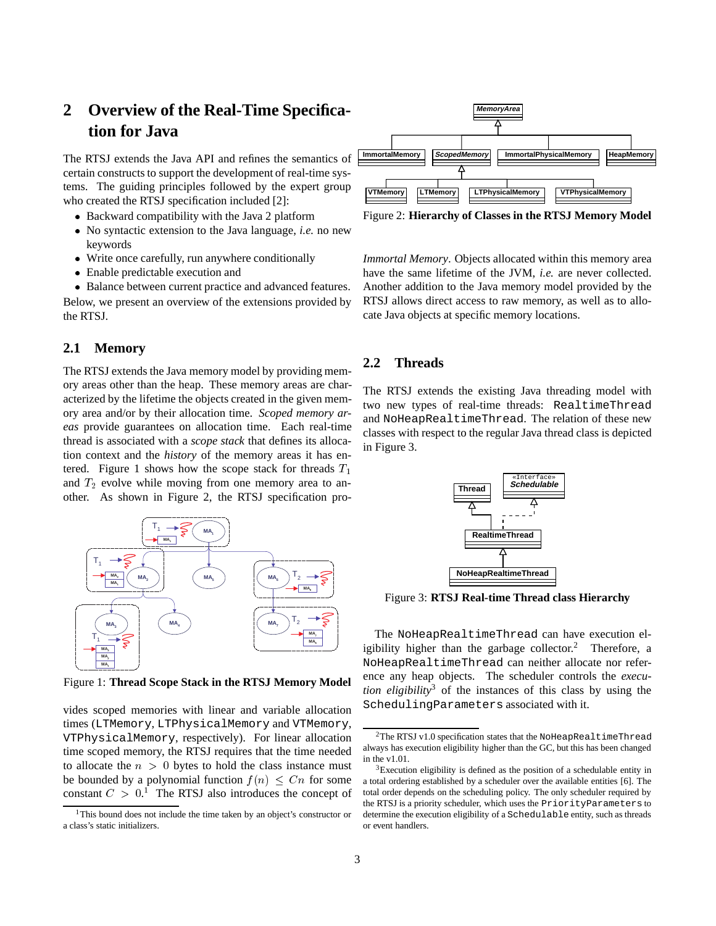# **2 Overview of the Real-Time Specification for Java**

The RTSJ extends the Java API and refines the semantics of certain constructs to support the development of real-time systems. The guiding principles followed by the expert group who created the RTSJ specification included [2]:

- Backward compatibility with the Java 2 platform
- $\bullet$  No syntactic extension to the Java language, *i.e.* no new keywords
- Write once carefully, run anywhere conditionally
- Enable predictable execution and

 Balance between current practice and advanced features. Below, we present an overview of the extensions provided by the RTSJ.

### **2.1 Memory**

The RTSJ extends the Java memory model by providing memory areas other than the heap. These memory areas are characterized by the lifetime the objects created in the given memory area and/or by their allocation time. *Scoped memory areas* provide guarantees on allocation time. Each real-time thread is associated with a *scope stack* that defines its allocation context and the *history* of the memory areas it has entered. Figure 1 shows how the scope stack for threads  $T_1$ and  $T_2$  evolve while moving from one memory area to another. As shown in Figure 2, the RTSJ specification pro-



Figure 1: **Thread Scope Stack in the RTSJ Memory Model**

vides scoped memories with linear and variable allocation times (LTMemory, LTPhysicalMemory and VTMemory, VTPhysicalMemory, respectively). For linear allocation time scoped memory, the RTSJ requires that the time needed to allocate the  $n > 0$  bytes to hold the class instance must be bounded by a polynomial function  $f(n) \leq C_n$  for some constant  $C > 0$ .<sup>1</sup> The RTSJ also introduces the concept of



Figure 2: **Hierarchy of Classes in the RTSJ Memory Model**

*Immortal Memory*. Objects allocated within this memory area have the same lifetime of the JVM, *i.e.* are never collected. Another addition to the Java memory model provided by the RTSJ allows direct access to raw memory, as well as to allocate Java objects at specific memory locations.

#### **2.2 Threads**

The RTSJ extends the existing Java threading model with two new types of real-time threads: RealtimeThread and NoHeapRealtimeThread. The relation of these new classes with respect to the regular Java thread class is depicted in Figure 3.



Figure 3: **RTSJ Real-time Thread class Hierarchy**

The NoHeapRealtimeThread can have execution eligibility higher than the garbage collector.<sup>2</sup> Therefore, a NoHeapRealtimeThread can neither allocate nor reference any heap objects. The scheduler controls the *execution eligibility*<sup>3</sup> of the instances of this class by using the SchedulingParameters associated with it.

<sup>&</sup>lt;sup>1</sup>This bound does not include the time taken by an object's constructor or a class's static initializers.

 $^{2}$ The RTSJ v1.0 specification states that the NoHeapRealtimeThread always has execution eligibility higher than the GC, but this has been changed in the v1.01.

 $3E$ xecution eligibility is defined as the position of a schedulable entity in a total ordering established by a scheduler over the available entities [6]. The total order depends on the scheduling policy. The only scheduler required by the RTSJ is a priority scheduler, which uses the PriorityParameters to determine the execution eligibility of a Schedulable entity, such as threads or event handlers.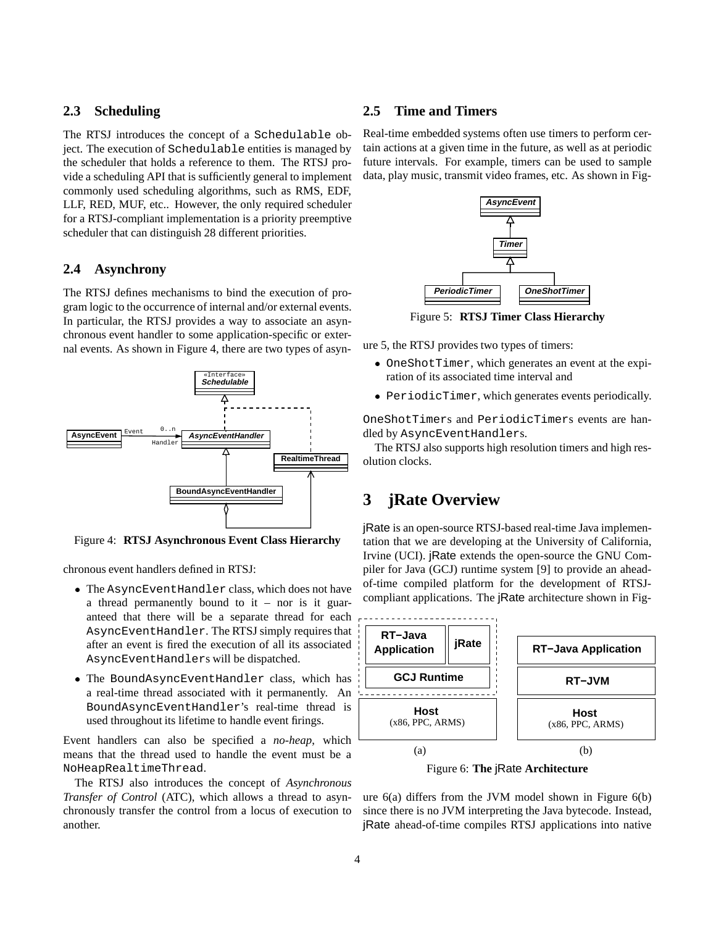### **2.3 Scheduling**

The RTSJ introduces the concept of a Schedulable object. The execution of Schedulable entities is managed by the scheduler that holds a reference to them. The RTSJ provide a scheduling API that is sufficiently general to implement commonly used scheduling algorithms, such as RMS, EDF, LLF, RED, MUF, etc.. However, the only required scheduler for a RTSJ-compliant implementation is a priority preemptive scheduler that can distinguish 28 different priorities.

#### **2.4 Asynchrony**

The RTSJ defines mechanisms to bind the execution of program logic to the occurrence of internal and/or external events. In particular, the RTSJ provides a way to associate an asynchronous event handler to some application-specific or external events. As shown in Figure 4, there are two types of asyn-



Figure 4: **RTSJ Asynchronous Event Class Hierarchy**

chronous event handlers defined in RTSJ:

- The AsyncEventHandler class, which does not have a thread permanently bound to it – nor is it guaranteed that there will be a separate thread for each AsyncEventHandler. The RTSJ simply requires that after an event is fired the execution of all its associated AsyncEventHandlers will be dispatched.
- The BoundAsyncEventHandler class, which has a real-time thread associated with it permanently. An BoundAsyncEventHandler's real-time thread is used throughout its lifetime to handle event firings.

Event handlers can also be specified a *no-heap*, which means that the thread used to handle the event must be a NoHeapRealtimeThread.

The RTSJ also introduces the concept of *Asynchronous Transfer of Control* (ATC), which allows a thread to asynchronously transfer the control from a locus of execution to another.

### **2.5 Time and Timers**

Real-time embedded systems often use timers to perform certain actions at a given time in the future, as well as at periodic future intervals. For example, timers can be used to sample data, play music, transmit video frames, etc. As shown in Fig-



Figure 5: **RTSJ Timer Class Hierarchy**

ure 5, the RTSJ provides two types of timers:

- OneShotTimer, which generates an event at the expiration of its associated time interval and
- PeriodicTimer, which generates events periodically.

OneShotTimers and PeriodicTimers events are handled by AsyncEventHandlers.

The RTSJ also supports high resolution timers and high resolution clocks.

### **3 jRate Overview**

jRate is an open-source RTSJ-based real-time Java implementation that we are developing at the University of California, Irvine (UCI). jRate extends the open-source the GNU Compiler for Java (GCJ) runtime system [9] to provide an aheadof-time compiled platform for the development of RTSJcompliant applications. The jRate architecture shown in Fig-



Figure 6: **The** jRate **Architecture**

ure  $6(a)$  differs from the JVM model shown in Figure  $6(b)$ since there is no JVM interpreting the Java bytecode. Instead, jRate ahead-of-time compiles RTSJ applications into native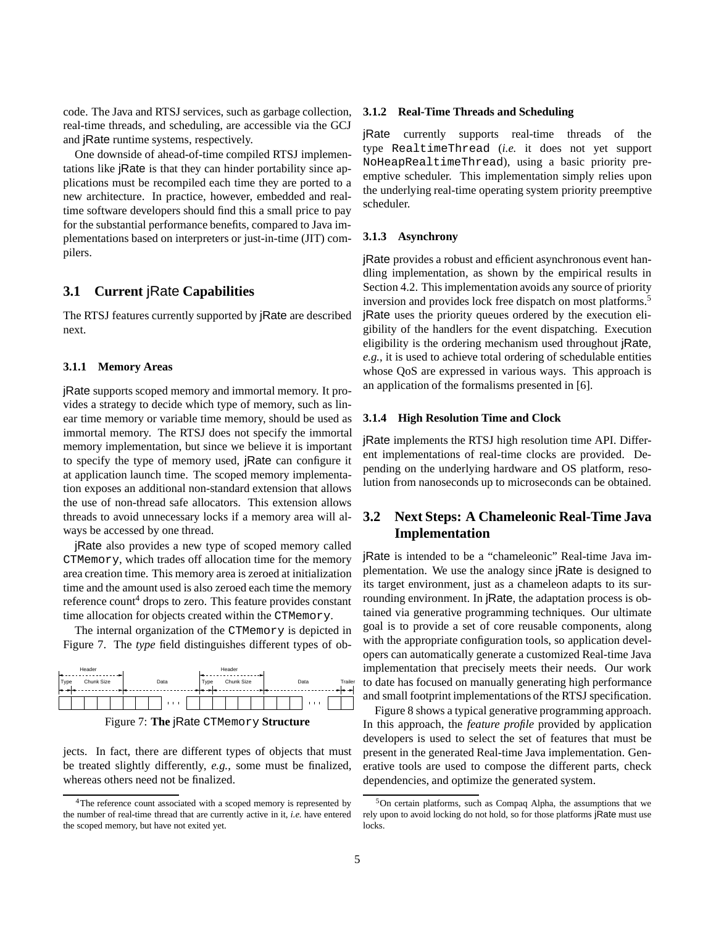code. The Java and RTSJ services, such as garbage collection, real-time threads, and scheduling, are accessible via the GCJ and jRate runtime systems, respectively.

One downside of ahead-of-time compiled RTSJ implementations like jRate is that they can hinder portability since applications must be recompiled each time they are ported to a new architecture. In practice, however, embedded and realtime software developers should find this a small price to pay for the substantial performance benefits, compared to Java implementations based on interpreters or just-in-time (JIT) compilers.

### **3.1 Current** jRate **Capabilities**

The RTSJ features currently supported by jRate are described next.

#### **3.1.1 Memory Areas**

jRate supports scoped memory and immortal memory. It provides a strategy to decide which type of memory, such as linear time memory or variable time memory, should be used as immortal memory. The RTSJ does not specify the immortal memory implementation, but since we believe it is important to specify the type of memory used, jRate can configure it at application launch time. The scoped memory implementation exposes an additional non-standard extension that allows the use of non-thread safe allocators. This extension allows threads to avoid unnecessary locks if a memory area will always be accessed by one thread.

jRate also provides a new type of scoped memory called CTMemory, which trades off allocation time for the memory area creation time. This memory area is zeroed at initialization time and the amount used is also zeroed each time the memory reference count<sup>4</sup> drops to zero. This feature provides constant time allocation for objects created within the CTMemory.

The internal organization of the CTMemory is depicted in Figure 7. The *type* field distinguishes different types of ob-





jects. In fact, there are different types of objects that must be treated slightly differently, *e.g.*, some must be finalized, whereas others need not be finalized.

#### **3.1.2 Real-Time Threads and Scheduling**

jRate currently supports real-time threads of the type RealtimeThread (*i.e.* it does not yet support NoHeapRealtimeThread), using a basic priority preemptive scheduler. This implementation simply relies upon the underlying real-time operating system priority preemptive scheduler.

#### **3.1.3 Asynchrony**

jRate provides a robust and efficient asynchronous event handling implementation, as shown by the empirical results in Section 4.2. This implementation avoids any source of priority inversion and provides lock free dispatch on most platforms.<sup>5</sup> jRate uses the priority queues ordered by the execution eligibility of the handlers for the event dispatching. Execution eligibility is the ordering mechanism used throughout jRate, *e.g.*, it is used to achieve total ordering of schedulable entities whose QoS are expressed in various ways. This approach is an application of the formalisms presented in [6].

#### **3.1.4 High Resolution Time and Clock**

jRate implements the RTSJ high resolution time API. Different implementations of real-time clocks are provided. Depending on the underlying hardware and OS platform, resolution from nanoseconds up to microseconds can be obtained.

### **3.2 Next Steps: A Chameleonic Real-Time Java Implementation**

jRate is intended to be a "chameleonic" Real-time Java implementation. We use the analogy since jRate is designed to its target environment, just as a chameleon adapts to its surrounding environment. In jRate, the adaptation process is obtained via generative programming techniques. Our ultimate goal is to provide a set of core reusable components, along with the appropriate configuration tools, so application developers can automatically generate a customized Real-time Java implementation that precisely meets their needs. Our work to date has focused on manually generating high performance and small footprint implementations of the RTSJ specification.

Figure 8 shows a typical generative programming approach. In this approach, the *feature profile* provided by application developers is used to select the set of features that must be present in the generated Real-time Java implementation. Generative tools are used to compose the different parts, check dependencies, and optimize the generated system.

<sup>&</sup>lt;sup>4</sup>The reference count associated with a scoped memory is represented by the number of real-time thread that are currently active in it, *i.e.* have entered the scoped memory, but have not exited yet.

<sup>5</sup>On certain platforms, such as Compaq Alpha, the assumptions that we rely upon to avoid locking do not hold, so for those platforms jRate must use locks.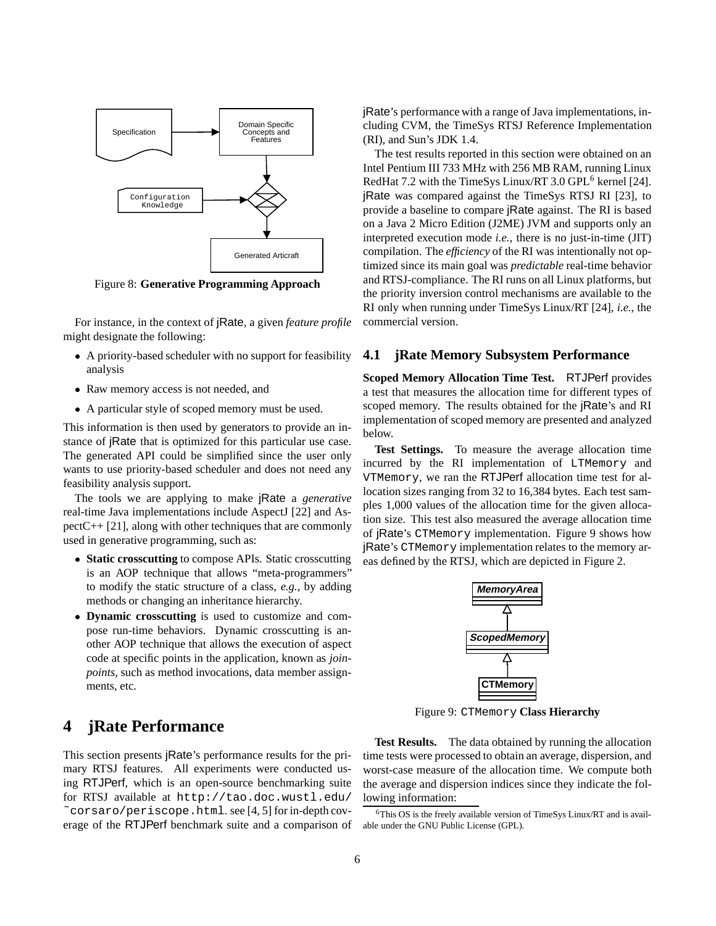

Figure 8: **Generative Programming Approach**

For instance, in the context of jRate, a given *feature profile* might designate the following:

- A priority-based scheduler with no support for feasibility analysis
- Raw memory access is not needed, and
- A particular style of scoped memory must be used.

This information is then used by generators to provide an instance of jRate that is optimized for this particular use case. The generated API could be simplified since the user only wants to use priority-based scheduler and does not need any feasibility analysis support.

The tools we are applying to make jRate a *generative* real-time Java implementations include AspectJ [22] and AspectC++ [21], along with other techniques that are commonly used in generative programming, such as:

- **Static crosscutting** to compose APIs. Static crosscutting is an AOP technique that allows "meta-programmers" to modify the static structure of a class, *e.g.*, by adding methods or changing an inheritance hierarchy.
- **Dynamic crosscutting** is used to customize and compose run-time behaviors. Dynamic crosscutting is another AOP technique that allows the execution of aspect code at specific points in the application, known as *joinpoints*, such as method invocations, data member assignments, etc.

## **4 jRate Performance**

This section presents jRate's performance results for the primary RTSJ features. All experiments were conducted using RTJPerf, which is an open-source benchmarking suite for RTSJ available at http://tao.doc.wustl.edu/ ˜corsaro/periscope.html. see [4, 5] for in-depth coverage of the RTJPerf benchmark suite and a comparison of jRate's performance with a range of Java implementations, including CVM, the TimeSys RTSJ Reference Implementation (RI), and Sun's JDK 1.4.

The test results reported in this section were obtained on an Intel Pentium III 733 MHz with 256 MB RAM, running Linux RedHat 7.2 with the TimeSys Linux/RT 3.0 GPL<sup>6</sup> kernel [24]. jRate was compared against the TimeSys RTSJ RI [23], to provide a baseline to compare jRate against. The RI is based on a Java 2 Micro Edition (J2ME) JVM and supports only an interpreted execution mode *i.e.*, there is no just-in-time (JIT) compilation. The *efficiency* of the RI was intentionally not optimized since its main goal was *predictable* real-time behavior and RTSJ-compliance. The RI runs on all Linux platforms, but the priority inversion control mechanisms are available to the RI only when running under TimeSys Linux/RT [24], *i.e.*, the commercial version.

#### **4.1 jRate Memory Subsystem Performance**

**Scoped Memory Allocation Time Test.** RTJPerf provides a test that measures the allocation time for different types of scoped memory. The results obtained for the jRate's and RI implementation of scoped memory are presented and analyzed below.

**Test Settings.** To measure the average allocation time incurred by the RI implementation of LTMemory and VTMemory, we ran the RTJPerf allocation time test for allocation sizes ranging from 32 to 16,384 bytes. Each test samples 1,000 values of the allocation time for the given allocation size. This test also measured the average allocation time of jRate's CTMemory implementation. Figure 9 shows how jRate's CTMemory implementation relates to the memory areas defined by the RTSJ, which are depicted in Figure 2.



Figure 9: CTMemory **Class Hierarchy**

**Test Results.** The data obtained by running the allocation time tests were processed to obtain an average, dispersion, and worst-case measure of the allocation time. We compute both the average and dispersion indices since they indicate the following information:

<sup>&</sup>lt;sup>6</sup>This OS is the freely available version of TimeSys Linux/RT and is available under the GNU Public License (GPL).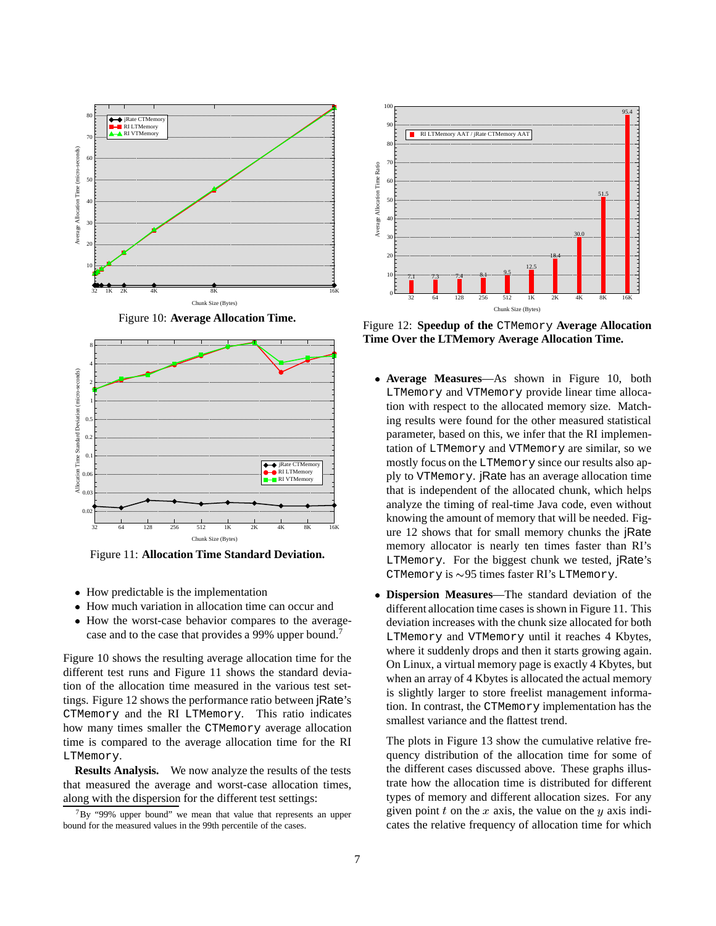

Figure 10: **Average Allocation Time.**



Figure 11: **Allocation Time Standard Deviation.**

- How predictable is the implementation
- $\bullet$ How much variation in allocation time can occur and
- How the worst-case behavior compares to the averagecase and to the case that provides a 99% upper bound.<sup>7</sup>

Figure 10 shows the resulting average allocation time for the different test runs and Figure 11 shows the standard deviation of the allocation time measured in the various test settings. Figure 12 shows the performance ratio between jRate's CTMemory and the RI LTMemory. This ratio indicates how many times smaller the CTMemory average allocation time is compared to the average allocation time for the RI LTMemory.

**Results Analysis.** We now analyze the results of the tests that measured the average and worst-case allocation times, along with the dispersion for the different test settings:



Figure 12: **Speedup of the** CTMemory **Average Allocation Time Over the LTMemory Average Allocation Time.**

- **Average Measures**—As shown in Figure 10, both LTMemory and VTMemory provide linear time allocation with respect to the allocated memory size. Matching results were found for the other measured statistical parameter, based on this, we infer that the RI implementation of LTMemory and VTMemory are similar, so we mostly focus on the LTMemory since our results also apply to VTMemory. jRate has an average allocation time that is independent of the allocated chunk, which helps analyze the timing of real-time Java code, even without knowing the amount of memory that will be needed. Figure 12 shows that for small memory chunks the jRate memory allocator is nearly ten times faster than RI's LTMemory. For the biggest chunk we tested, jRate's CTMemory is  $\sim$ 95 times faster RI's LTMemory.
- **Dispersion Measures**—The standard deviation of the different allocation time cases is shown in Figure 11. This deviation increases with the chunk size allocated for both LTMemory and VTMemory until it reaches 4 Kbytes, where it suddenly drops and then it starts growing again. On Linux, a virtual memory page is exactly 4 Kbytes, but when an array of 4 Kbytes is allocated the actual memory is slightly larger to store freelist management information. In contrast, the CTMemory implementation has the smallest variance and the flattest trend.

The plots in Figure 13 show the cumulative relative frequency distribution of the allocation time for some of the different cases discussed above. These graphs illustrate how the allocation time is distributed for different types of memory and different allocation sizes. For any given point  $t$  on the  $x$  axis, the value on the  $y$  axis indicates the relative frequency of allocation time for which

 $7By$  "99% upper bound" we mean that value that represents an upper bound for the measured values in the 99th percentile of the cases.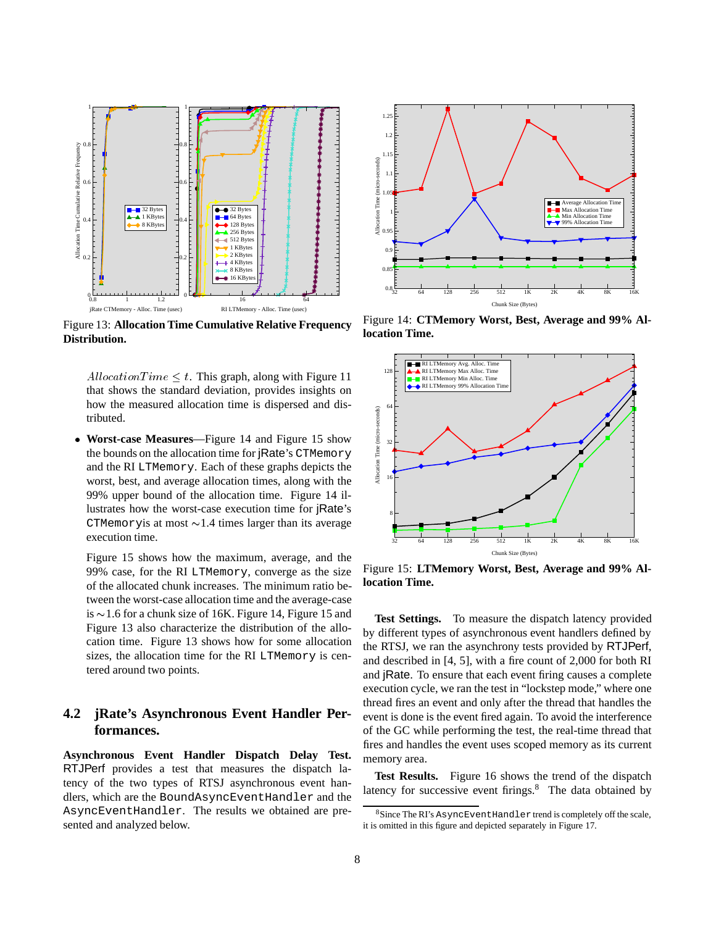

Figure 13: **Allocation Time Cumulative Relative Frequency Distribution.**

AllocationTime  $\leq t$ . This graph, along with Figure 11 that shows the standard deviation, provides insights on how the measured allocation time is dispersed and distributed.

 **Worst-case Measures**—Figure 14 and Figure 15 show the bounds on the allocation time for jRate's CTMemory and the RI LTMemory. Each of these graphs depicts the worst, best, and average allocation times, along with the 99% upper bound of the allocation time. Figure 14 illustrates how the worst-case execution time for jRate's CTMemoryis at most  $\sim$  1.4 times larger than its average execution time.

Figure 15 shows how the maximum, average, and the 99% case, for the RI LTMemory, converge as the size of the allocated chunk increases. The minimum ratio between the worst-case allocation time and the average-case is  $\sim$ 1.6 for a chunk size of 16K. Figure 14, Figure 15 and Figure 13 also characterize the distribution of the allocation time. Figure 13 shows how for some allocation sizes, the allocation time for the RI LTMemory is centered around two points.

### **4.2 jRate's Asynchronous Event Handler Performances.**

**Asynchronous Event Handler Dispatch Delay Test.** RTJPerf provides a test that measures the dispatch latency of the two types of RTSJ asynchronous event handlers, which are the BoundAsyncEventHandler and the AsyncEventHandler. The results we obtained are presented and analyzed below.



Figure 14: **CTMemory Worst, Best, Average and 99% Allocation Time.**



Figure 15: **LTMemory Worst, Best, Average and 99% Allocation Time.**

**Test Settings.** To measure the dispatch latency provided by different types of asynchronous event handlers defined by the RTSJ, we ran the asynchrony tests provided by RTJPerf, and described in [4, 5], with a fire count of 2,000 for both RI and jRate. To ensure that each event firing causes a complete execution cycle, we ran the test in "lockstep mode," where one thread fires an event and only after the thread that handles the event is done is the event fired again. To avoid the interference of the GC while performing the test, the real-time thread that fires and handles the event uses scoped memory as its current memory area.

**Test Results.** Figure 16 shows the trend of the dispatch latency for successive event firings.<sup>8</sup> The data obtained by

<sup>8</sup>Since The RI's AsyncEventHandler trend is completely off the scale, it is omitted in this figure and depicted separately in Figure 17.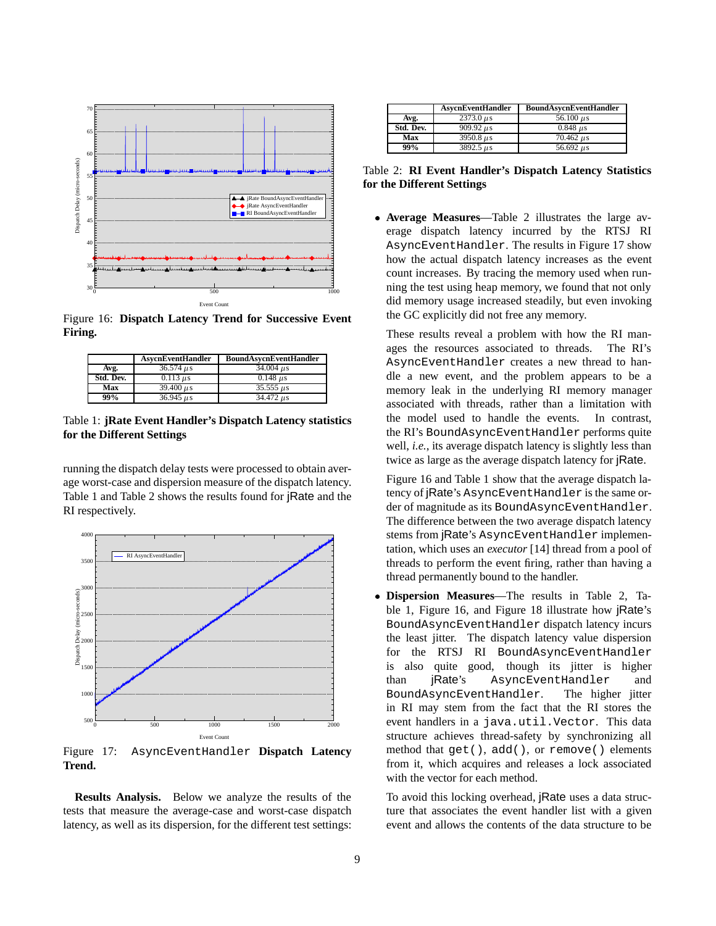

Figure 16: **Dispatch Latency Trend for Successive Event Firing.**

|           | <b>AsycnEventHandler</b>    | <b>BoundAsycnEventHandler</b> |  |
|-----------|-----------------------------|-------------------------------|--|
| Avg.      | $36.574 \,\mu s$            | $34.004 \,\mu s$              |  |
| Std. Dev. | $0.113 \text{ }\mu\text{s}$ | $0.148 \mu s$                 |  |
| Max       | $39.400 \,\mu s$            | $35.555 \,\mu s$              |  |
| 99%       | $36.945 \,\mu s$            | $34.472 \,\mu s$              |  |

Table 1: **jRate Event Handler's Dispatch Latency statistics for the Different Settings**

running the dispatch delay tests were processed to obtain average worst-case and dispersion measure of the dispatch latency. Table 1 and Table 2 shows the results found for jRate and the RI respectively.



Figure 17: AsyncEventHandler **Dispatch Latency Trend.**

**Results Analysis.** Below we analyze the results of the tests that measure the average-case and worst-case dispatch latency, as well as its dispersion, for the different test settings:

|           | <b>AsycnEventHandler</b>             | <b>BoundAsycnEventHandler</b> |  |
|-----------|--------------------------------------|-------------------------------|--|
| Avg.      | $2373.0 \,\mu s$                     | 56.100 $\mu$ s                |  |
| Std. Dev. | $909.92 \,\mu s$                     | $0.848 \,\mu s$               |  |
| Max       | $3950.8 \text{ }\mu\text{s}$         | $70.462 \,\mu s$              |  |
| 99%       | $3892.5 \text{ \textit{u}}\text{ s}$ | $56.692 \,\mu s$              |  |

Table 2: **RI Event Handler's Dispatch Latency Statistics for the Different Settings**

 **Average Measures**—Table 2 illustrates the large average dispatch latency incurred by the RTSJ RI AsyncEventHandler. The results in Figure 17 show how the actual dispatch latency increases as the event count increases. By tracing the memory used when running the test using heap memory, we found that not only did memory usage increased steadily, but even invoking the GC explicitly did not free any memory.

These results reveal a problem with how the RI manages the resources associated to threads. The RI's AsyncEventHandler creates a new thread to handle a new event, and the problem appears to be a memory leak in the underlying RI memory manager associated with threads, rather than a limitation with the model used to handle the events. In contrast, the RI's BoundAsyncEventHandler performs quite well, *i.e.*, its average dispatch latency is slightly less than twice as large as the average dispatch latency for jRate.

Figure 16 and Table 1 show that the average dispatch latency of jRate's AsyncEventHandler is the same order of magnitude as its BoundAsyncEventHandler. The difference between the two average dispatch latency stems from jRate's AsyncEventHandler implementation, which uses an *executor* [14] thread from a pool of threads to perform the event firing, rather than having a thread permanently bound to the handler.

 **Dispersion Measures**—The results in Table 2, Table 1, Figure 16, and Figure 18 illustrate how jRate's BoundAsyncEventHandler dispatch latency incurs the least jitter. The dispatch latency value dispersion for the RTSJ RI BoundAsyncEventHandler is also quite good, though its jitter is higher than jRate's AsyncEventHandler and BoundAsyncEventHandler. The higher jitter in RI may stem from the fact that the RI stores the event handlers in a java.util.Vector. This data structure achieves thread-safety by synchronizing all method that get(), add(), or remove() elements from it, which acquires and releases a lock associated with the vector for each method.

To avoid this locking overhead, jRate uses a data structure that associates the event handler list with a given event and allows the contents of the data structure to be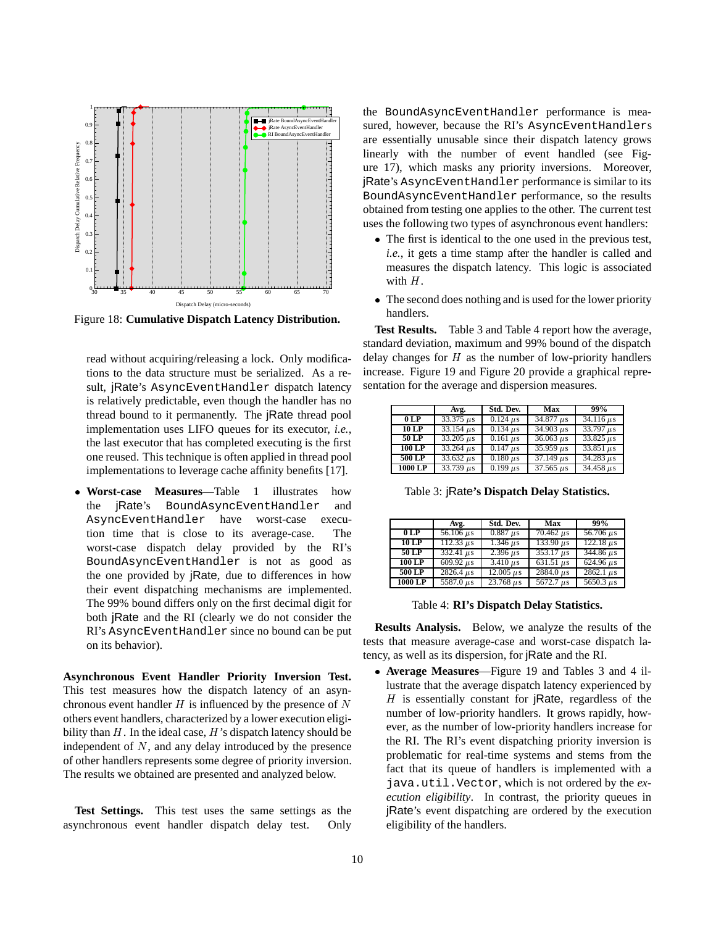

Figure 18: **Cumulative Dispatch Latency Distribution.**

read without acquiring/releasing a lock. Only modifications to the data structure must be serialized. As a result, jRate's AsyncEventHandler dispatch latency is relatively predictable, even though the handler has no thread bound to it permanently. The jRate thread pool implementation uses LIFO queues for its executor, *i.e.*, the last executor that has completed executing is the first one reused. This technique is often applied in thread pool implementations to leverage cache affinity benefits [17].

 **Worst-case Measures**—Table 1 illustrates how the jRate's BoundAsyncEventHandler and AsyncEventHandler have worst-case execution time that is close to its average-case. The worst-case dispatch delay provided by the RI's BoundAsyncEventHandler is not as good as the one provided by jRate, due to differences in how their event dispatching mechanisms are implemented. The 99% bound differs only on the first decimal digit for both jRate and the RI (clearly we do not consider the RI's AsyncEventHandler since no bound can be put on its behavior).

**Asynchronous Event Handler Priority Inversion Test.** This test measures how the dispatch latency of an asynchronous event handler  $H$  is influenced by the presence of  $N$ others event handlers, characterized by a lower execution eligibility than  $H$ . In the ideal case,  $H$ 's dispatch latency should be independent of  $N$ , and any delay introduced by the presence of other handlers represents some degree of priority inversion. The results we obtained are presented and analyzed below.

**Test Settings.** This test uses the same settings as the asynchronous event handler dispatch delay test. Only

the BoundAsyncEventHandler performance is measured, however, because the RI's AsyncEventHandlers are essentially unusable since their dispatch latency grows linearly with the number of event handled (see Figure 17), which masks any priority inversions. Moreover, jRate's AsyncEventHandler performance is similar to its BoundAsyncEventHandler performance, so the results obtained from testing one applies to the other. The current test uses the following two types of asynchronous event handlers:

- The first is identical to the one used in the previous test, *i.e.*, it gets a time stamp after the handler is called and measures the dispatch latency. This logic is associated with  $H$ .
- The second does nothing and is used for the lower priority handlers.

**Test Results.** Table 3 and Table 4 report how the average, standard deviation, maximum and 99% bound of the dispatch delay changes for  $H$  as the number of low-priority handlers increase. Figure 19 and Figure 20 provide a graphical representation for the average and dispersion measures.

|          | Avg.                         | Std. Dev.                  | Max                      | 99%                          |
|----------|------------------------------|----------------------------|--------------------------|------------------------------|
| 0LP      | $33.375 \,\mu s$             | $0.124 \mu s$              | $34.877 \,\mu s$         | $34.116 \,\mu s$             |
| 10 LP    | $33.154 \,\mu s$             | $0.134 \mu s$              | $34.903 \mu s$           | $33.797 \,\mu s$             |
| 50 LP    | $\frac{33.205}{\mu s}$       | $\overline{0.161}$ $\mu s$ | $36.063 \,\mu s$         | $33.825 \text{ }\mu\text{s}$ |
| 100 LP   | $33.264 \text{ }\mu\text{s}$ | $0.147 \,\mu s$            | $35.959 \,\mu s$         | $33.851 \,\mu s$             |
| $500$ LP | $33.632 \mu s$               | $0.180 \mu s$              | $\frac{37.149}{\mu s}$   | $34.283 \mu s$               |
| 1000 LP  | $33.739 \mu s$               | $0.199 \,\mu s$            | $\frac{37.565 \mu s}{ }$ | $34.458 \,\mu s$             |

Table 3: jRate**'s Dispatch Delay Statistics.**

|         | Avg.                         | Std. Dev.                  | Max                          | 99%                          |
|---------|------------------------------|----------------------------|------------------------------|------------------------------|
| 0LP     | $\frac{56.106}{\mu s}$       | $0.887 \,\mu s$            | $70.462 \,\mu s$             | $56.706 \,\mu s$             |
| 10 LP   | $112.33 \text{ }\mu\text{s}$ | $\overline{1.346}$ $\mu s$ | $133.90 \text{ }\mu\text{s}$ | $122.18 \text{ }\mu\text{s}$ |
| 50 LP   | 332.41 $\mu$ s               | $2.396 \,\mu s$            | $\frac{353.17}{\mu s}$       | $344.86 \text{ }\mu s$       |
| 100LP   | $609.92 \text{ }\mu\text{s}$ | $3.410 \,\mu s$            | $631.51 \,\mu s$             | $\sqrt{624.96} \mu s$        |
| 500 LP  | $2826.4 \,\mu s$             | $12.005 \,\mu s$           | $2884.0 \text{ }\mu\text{s}$ | $2862.1 \text{ }\mu\text{s}$ |
| 1000 LP | $5587.0 \,\mu s$             | $23.768 \,\mu s$           | $\overline{5672.7}$ us       | $5650.3 \,\mu s$             |

Table 4: **RI's Dispatch Delay Statistics.**

**Results Analysis.** Below, we analyze the results of the tests that measure average-case and worst-case dispatch latency, as well as its dispersion, for jRate and the RI.

 **Average Measures**—Figure 19 and Tables 3 and 4 illustrate that the average dispatch latency experienced by  $H$  is essentially constant for jRate, regardless of the number of low-priority handlers. It grows rapidly, however, as the number of low-priority handlers increase for the RI. The RI's event dispatching priority inversion is problematic for real-time systems and stems from the fact that its queue of handlers is implemented with a java.util.Vector, which is not ordered by the *execution eligibility*. In contrast, the priority queues in jRate's event dispatching are ordered by the execution eligibility of the handlers.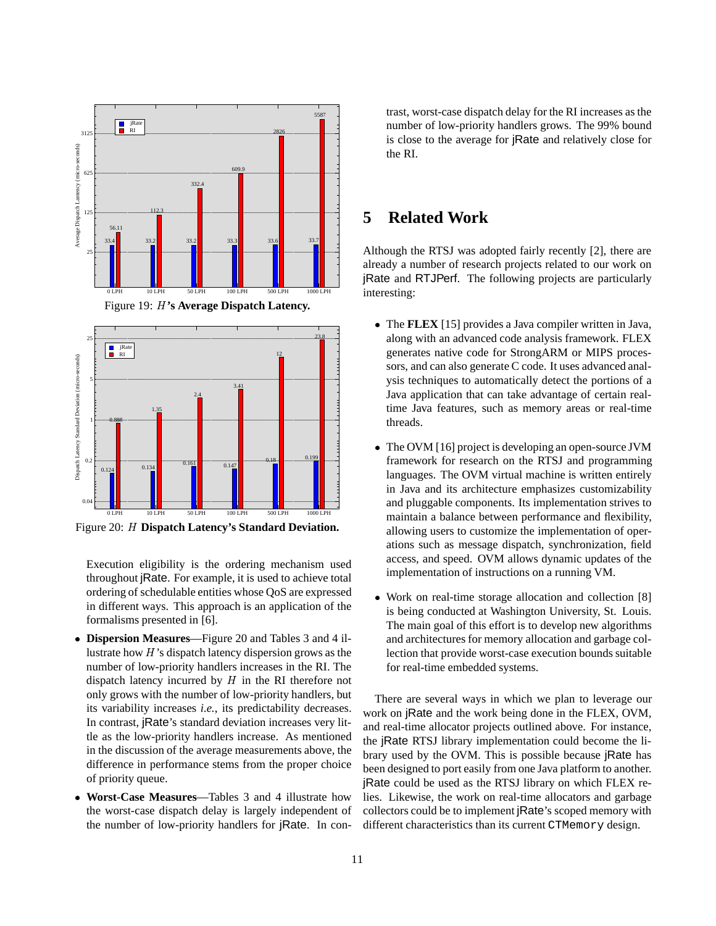

Figure 20: H **Dispatch Latency's Standard Deviation.**

Execution eligibility is the ordering mechanism used throughout jRate. For example, it is used to achieve total ordering of schedulable entities whose QoS are expressed in different ways. This approach is an application of the formalisms presented in [6].

- **Dispersion Measures**—Figure 20 and Tables 3 and 4 illustrate how  $H$ 's dispatch latency dispersion grows as the number of low-priority handlers increases in the RI. The dispatch latency incurred by  $H$  in the RI therefore not only grows with the number of low-priority handlers, but its variability increases *i.e.*, its predictability decreases. In contrast, jRate's standard deviation increases very little as the low-priority handlers increase. As mentioned in the discussion of the average measurements above, the difference in performance stems from the proper choice of priority queue.
- **Worst-Case Measures**—Tables 3 and 4 illustrate how the worst-case dispatch delay is largely independent of the number of low-priority handlers for jRate. In con-

trast, worst-case dispatch delay for the RI increases as the number of low-priority handlers grows. The 99% bound is close to the average for jRate and relatively close for the RI.

## **5 Related Work**

Although the RTSJ was adopted fairly recently [2], there are already a number of research projects related to our work on jRate and RTJPerf. The following projects are particularly interesting:

- The **FLEX** [15] provides a Java compiler written in Java, along with an advanced code analysis framework. FLEX generates native code for StrongARM or MIPS processors, and can also generate C code. It uses advanced analysis techniques to automatically detect the portions of a Java application that can take advantage of certain realtime Java features, such as memory areas or real-time threads.
- The OVM [16] project is developing an open-source JVM framework for research on the RTSJ and programming languages. The OVM virtual machine is written entirely in Java and its architecture emphasizes customizability and pluggable components. Its implementation strives to maintain a balance between performance and flexibility, allowing users to customize the implementation of operations such as message dispatch, synchronization, field access, and speed. OVM allows dynamic updates of the implementation of instructions on a running VM.
- Work on real-time storage allocation and collection [8] is being conducted at Washington University, St. Louis. The main goal of this effort is to develop new algorithms and architectures for memory allocation and garbage collection that provide worst-case execution bounds suitable for real-time embedded systems.

There are several ways in which we plan to leverage our work on jRate and the work being done in the FLEX, OVM, and real-time allocator projects outlined above. For instance, the jRate RTSJ library implementation could become the library used by the OVM. This is possible because jRate has been designed to port easily from one Java platform to another. jRate could be used as the RTSJ library on which FLEX relies. Likewise, the work on real-time allocators and garbage collectors could be to implement jRate's scoped memory with different characteristics than its current CTMemory design.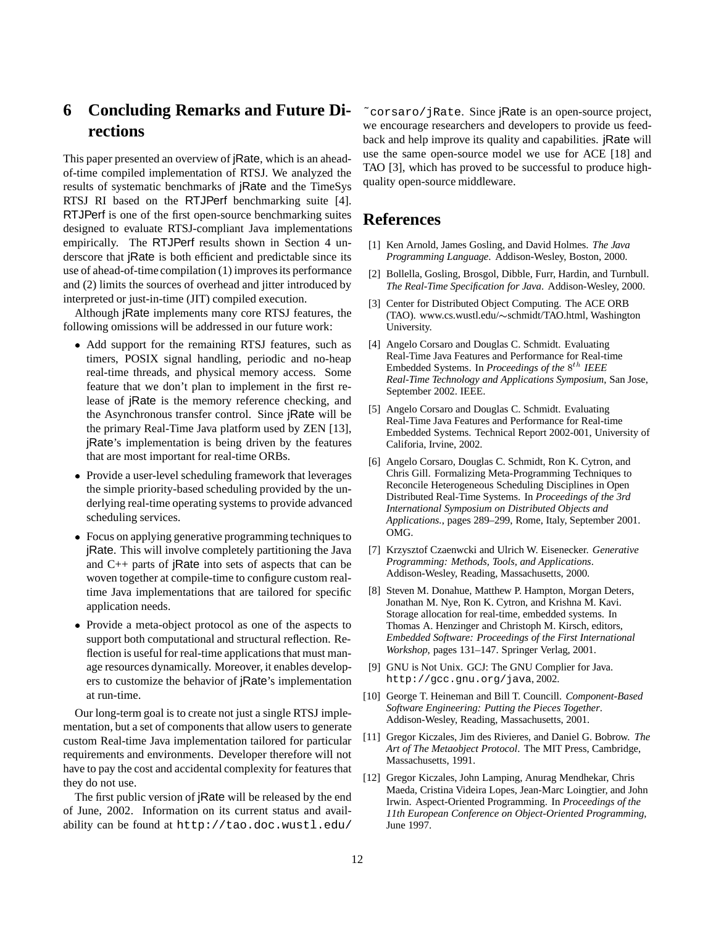# **6 Concluding Remarks and Future Directions**

This paper presented an overview of jRate, which is an aheadof-time compiled implementation of RTSJ. We analyzed the results of systematic benchmarks of jRate and the TimeSys RTSJ RI based on the RTJPerf benchmarking suite [4]. RTJPerf is one of the first open-source benchmarking suites designed to evaluate RTSJ-compliant Java implementations empirically. The RTJPerf results shown in Section 4 underscore that jRate is both efficient and predictable since its use of ahead-of-time compilation (1) improves its performance and (2) limits the sources of overhead and jitter introduced by interpreted or just-in-time (JIT) compiled execution.

Although jRate implements many core RTSJ features, the following omissions will be addressed in our future work:

- Add support for the remaining RTSJ features, such as timers, POSIX signal handling, periodic and no-heap real-time threads, and physical memory access. Some feature that we don't plan to implement in the first release of jRate is the memory reference checking, and the Asynchronous transfer control. Since jRate will be the primary Real-Time Java platform used by ZEN [13], jRate's implementation is being driven by the features that are most important for real-time ORBs.
- Provide a user-level scheduling framework that leverages the simple priority-based scheduling provided by the underlying real-time operating systems to provide advanced scheduling services.
- Focus on applying generative programming techniques to jRate. This will involve completely partitioning the Java and C++ parts of jRate into sets of aspects that can be woven together at compile-time to configure custom realtime Java implementations that are tailored for specific application needs.
- Provide a meta-object protocol as one of the aspects to support both computational and structural reflection. Reflection is useful for real-time applications that must manage resources dynamically. Moreover, it enables developers to customize the behavior of jRate's implementation at run-time.

Our long-term goal is to create not just a single RTSJ implementation, but a set of components that allow users to generate custom Real-time Java implementation tailored for particular requirements and environments. Developer therefore will not have to pay the cost and accidental complexity for features that they do not use.

The first public version of jRate will be released by the end of June, 2002. Information on its current status and availability can be found at http://tao.doc.wustl.edu/

˜corsaro/jRate. Since jRate is an open-source project, we encourage researchers and developers to provide us feedback and help improve its quality and capabilities. jRate will use the same open-source model we use for ACE [18] and TAO [3], which has proved to be successful to produce highquality open-source middleware.

### **References**

- [1] Ken Arnold, James Gosling, and David Holmes. *The Java Programming Language*. Addison-Wesley, Boston, 2000.
- [2] Bollella, Gosling, Brosgol, Dibble, Furr, Hardin, and Turnbull. *The Real-Time Specification for Java*. Addison-Wesley, 2000.
- [3] Center for Distributed Object Computing. The ACE ORB (TAO). www.cs.wustl.edu/~schmidt/TAO.html, Washington University.
- [4] Angelo Corsaro and Douglas C. Schmidt. Evaluating Real-Time Java Features and Performance for Real-time Embedded Systems. In *Proceedings of the* 8<sup>th</sup> *IEEE Real-Time Technology and Applications Symposium*, San Jose, September 2002. IEEE.
- [5] Angelo Corsaro and Douglas C. Schmidt. Evaluating Real-Time Java Features and Performance for Real-time Embedded Systems. Technical Report 2002-001, University of Califoria, Irvine, 2002.
- [6] Angelo Corsaro, Douglas C. Schmidt, Ron K. Cytron, and Chris Gill. Formalizing Meta-Programming Techniques to Reconcile Heterogeneous Scheduling Disciplines in Open Distributed Real-Time Systems. In *Proceedings of the 3rd International Symposium on Distributed Objects and Applications.*, pages 289–299, Rome, Italy, September 2001. OMG.
- [7] Krzysztof Czaenwcki and Ulrich W. Eisenecker. *Generative Programming: Methods, Tools, and Applications*. Addison-Wesley, Reading, Massachusetts, 2000.
- [8] Steven M. Donahue, Matthew P. Hampton, Morgan Deters, Jonathan M. Nye, Ron K. Cytron, and Krishna M. Kavi. Storage allocation for real-time, embedded systems. In Thomas A. Henzinger and Christoph M. Kirsch, editors, *Embedded Software: Proceedings of the First International Workshop*, pages 131–147. Springer Verlag, 2001.
- [9] GNU is Not Unix. GCJ: The GNU Complier for Java. http://gcc.gnu.org/java, 2002.
- [10] George T. Heineman and Bill T. Councill. *Component-Based Software Engineering: Putting the Pieces Together*. Addison-Wesley, Reading, Massachusetts, 2001.
- [11] Gregor Kiczales, Jim des Rivieres, and Daniel G. Bobrow. *The Art of The Metaobject Protocol*. The MIT Press, Cambridge, Massachusetts, 1991.
- [12] Gregor Kiczales, John Lamping, Anurag Mendhekar, Chris Maeda, Cristina Videira Lopes, Jean-Marc Loingtier, and John Irwin. Aspect-Oriented Programming. In *Proceedings of the 11th European Conference on Object-Oriented Programming*, June 1997.